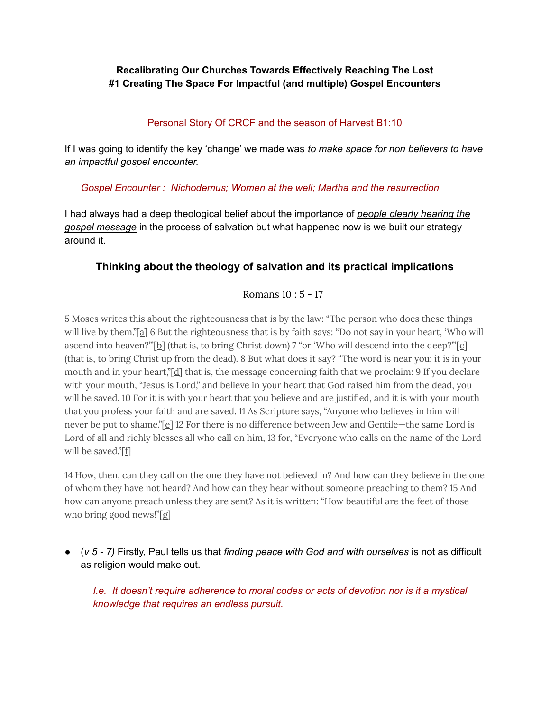## **Recalibrating Our Churches Towards Effectively Reaching The Lost #1 Creating The Space For Impactful (and multiple) Gospel Encounters**

## Personal Story Of CRCF and the season of Harvest B1:10

If I was going to identify the key 'change' we made was *to make space for non believers to have an impactful gospel encounter.*

### *Gospel Encounter : Nichodemus; Women at the well; Martha and the resurrection*

I had always had a deep theological belief about the importance of *people clearly hearing the gospel message* in the process of salvation but what happened now is we built our strategy around it.

# **Thinking about the theology of salvation and its practical implications**

# Romans 10 : 5 - 17

5 Moses writes this about the righteousness that is by the law: "The person who does these things will live by them."[[a\]](https://www.biblegateway.com/passage/?search=Romans+10&version=NIV#fen-NIV-28194a) 6 But the righteousness that is by faith says: "Do not say in your heart, 'Who will ascend into heaven?""[[b](https://www.biblegateway.com/passage/?search=Romans+10&version=NIV#fen-NIV-28195b)] (that is, to bring Christ down) 7 "or 'Who will des[c](https://www.biblegateway.com/passage/?search=Romans+10&version=NIV#fen-NIV-28196c)end into the deep?""[c] (that is, to bring Christ up from the dead). 8 But what does it say? "The word is near you; it is in your mouth and in your heart,"[[d\]](https://www.biblegateway.com/passage/?search=Romans+10&version=NIV#fen-NIV-28197d) that is, the message concerning faith that we proclaim: 9 If you declare with your mouth, "Jesus is Lord," and believe in your heart that God raised him from the dead, you will be saved. 10 For it is with your heart that you believe and are justified, and it is with your mouth that you profess your faith and are saved. 11 As Scripture says, "Anyone who believes in him will never be put to shame."[[e](https://www.biblegateway.com/passage/?search=Romans+10&version=NIV#fen-NIV-28200e)] 12 For there is no difference between Jew and Gentile—the same Lord is Lord of all and richly blesses all who call on him, 13 for, "Everyone who calls on the name of the Lord will be saved."[\[f](https://www.biblegateway.com/passage/?search=Romans+10&version=NIV#fen-NIV-28202f)]

14 How, then, can they call on the one they have not believed in? And how can they believe in the one of whom they have not heard? And how can they hear without someone preaching to them? 15 And how can anyone preach unless they are sent? As it is written: "How beautiful are the feet of those who bring good news!"[\[g\]](https://www.biblegateway.com/passage/?search=Romans+10&version=NIV#fen-NIV-28204g)

● (*v 5 - 7)* Firstly, Paul tells us that *finding peace with God and with ourselves* is not as difficult as religion would make out.

*I.e. It doesn't require adherence to moral codes or acts of devotion nor is it a mystical knowledge that requires an endless pursuit.*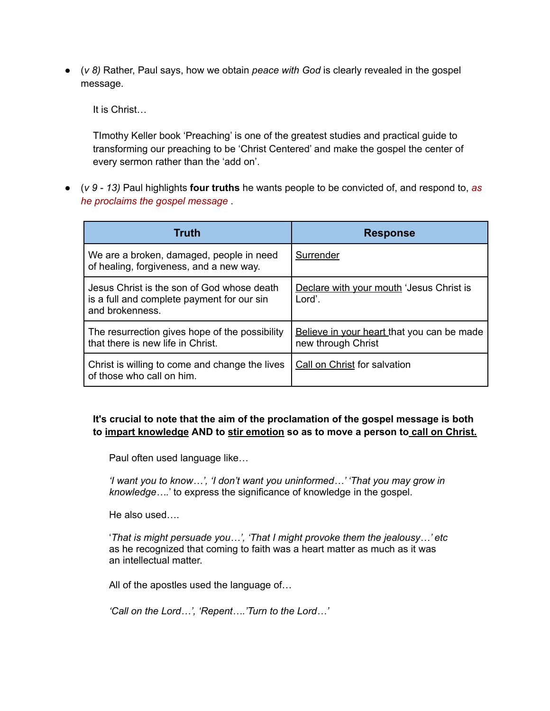● (*v 8)* Rather, Paul says, how we obtain *peace with God* is clearly revealed in the gospel message.

It is Christ…

TImothy Keller book 'Preaching' is one of the greatest studies and practical guide to transforming our preaching to be 'Christ Centered' and make the gospel the center of every sermon rather than the 'add on'.

● (*v 9 - 13)* Paul highlights **four truths** he wants people to be convicted of, and respond to, *as he proclaims the gospel message* .

| Truth                                                                                                       | <b>Response</b>                                                  |
|-------------------------------------------------------------------------------------------------------------|------------------------------------------------------------------|
| We are a broken, damaged, people in need<br>of healing, forgiveness, and a new way.                         | Surrender                                                        |
| Jesus Christ is the son of God whose death<br>is a full and complete payment for our sin<br>and brokenness. | Declare with your mouth 'Jesus Christ is<br>Lord'.               |
| The resurrection gives hope of the possibility<br>that there is new life in Christ.                         | Believe in your heart that you can be made<br>new through Christ |
| Christ is willing to come and change the lives<br>of those who call on him.                                 | Call on Christ for salvation                                     |

### **It's crucial to note that the aim of the proclamation of the gospel message is both to impart knowledge AND to stir emotion so as to move a person to call on Christ.**

Paul often used language like…

*'I want you to know…', 'I don't want you uninformed…' 'That you may grow in knowledge….*' to express the significance of knowledge in the gospel.

He also used….

'*That is might persuade you…', 'That I might provoke them the jealousy…' etc* as he recognized that coming to faith was a heart matter as much as it was an intellectual matter.

All of the apostles used the language of…

*'Call on the Lord…', 'Repent….'Turn to the Lord…'*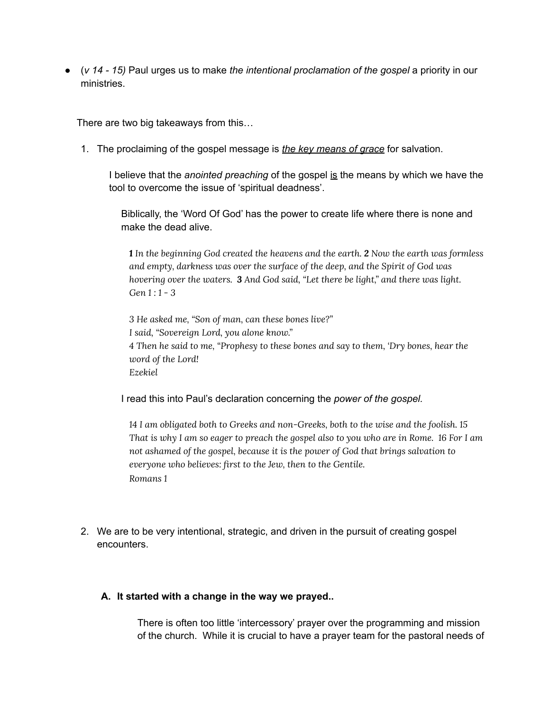● (*v 14 - 15)* Paul urges us to make *the intentional proclamation of the gospel* a priority in our ministries.

There are two big takeaways from this…

1. The proclaiming of the gospel message is *the key means of grace* for salvation.

I believe that the *anointed preaching* of the gospel is the means by which we have the tool to overcome the issue of 'spiritual deadness'.

Biblically, the 'Word Of God' has the power to create life where there is none and make the dead alive.

*1 In the beginning God created the heavens and the earth. 2 Now the earth was formless and empty, darkness was over the surface of the deep, and the Spirit of God was hovering over the waters. 3 And God said, "Let there be light," and there was light. Gen 1 : 1 - 3*

*3 He asked me, "Son of man, can these bones live?" I said, "Sovereign Lord, you alone know." 4 Then he said to me, "Prophesy to these bones and say to them, 'Dry bones, hear the word of the Lord! Ezekiel*

I read this into Paul's declaration concerning the *power of the gospel.*

*14 I am obligated both to Greeks and non-Greeks, both to the wise and the foolish. 15* That is why I am so eager to preach the gospel also to you who are in Rome. 16 For I am *not ashamed of the gospel, because it is the power of God that brings salvation to everyone who believes: first to the Jew, then to the Gentile. Romans 1*

2. We are to be very intentional, strategic, and driven in the pursuit of creating gospel encounters.

#### **A. It started with a change in the way we prayed..**

There is often too little 'intercessory' prayer over the programming and mission of the church. While it is crucial to have a prayer team for the pastoral needs of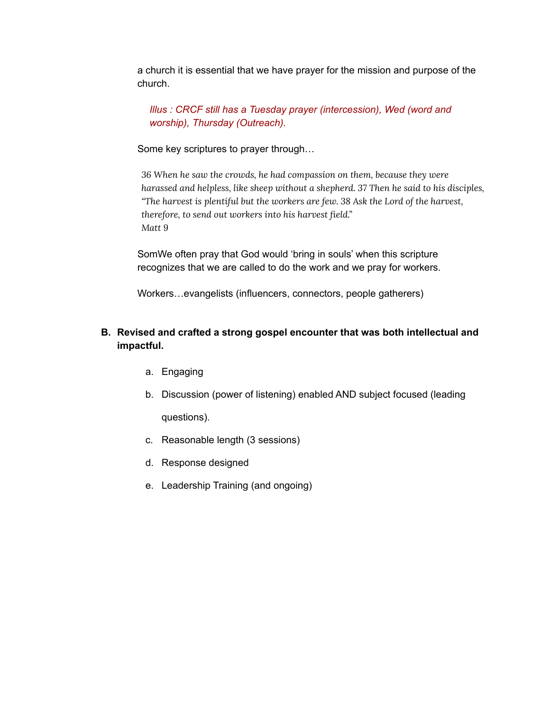a church it is essential that we have prayer for the mission and purpose of the church.

*Illus : CRCF still has a Tuesday prayer (intercession), Wed (word and worship), Thursday (Outreach).*

Some key scriptures to prayer through…

*36 When he saw the crowds, he had compassion on them, because they were harassed and helpless, like sheep without a shepherd. 37 Then he said to his disciples, "The harvest is plentiful but the workers are few. 38 Ask the Lord of the harvest, therefore, to send out workers into his harvest field." Matt 9*

SomWe often pray that God would 'bring in souls' when this scripture recognizes that we are called to do the work and we pray for workers.

Workers…evangelists (influencers, connectors, people gatherers)

## **B. Revised and crafted a strong gospel encounter that was both intellectual and impactful.**

- a. Engaging
- b. Discussion (power of listening) enabled AND subject focused (leading questions).
- c. Reasonable length (3 sessions)
- d. Response designed
- e. Leadership Training (and ongoing)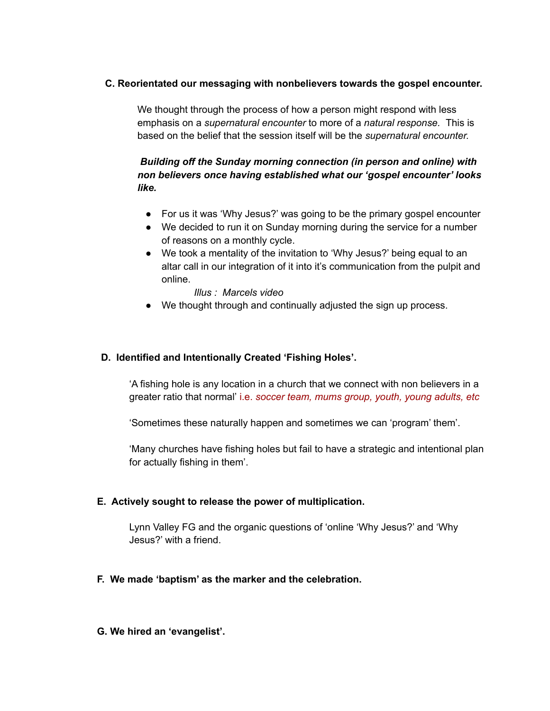#### **C. Reorientated our messaging with nonbelievers towards the gospel encounter.**

We thought through the process of how a person might respond with less emphasis on a *supernatural encounter* to more of a *natural response.* This is based on the belief that the session itself will be the *supernatural encounter.*

## *Building off the Sunday morning connection (in person and online) with non believers once having established what our 'gospel encounter' looks like.*

- For us it was 'Why Jesus?' was going to be the primary gospel encounter
- We decided to run it on Sunday morning during the service for a number of reasons on a monthly cycle.
- We took a mentality of the invitation to 'Why Jesus?' being equal to an altar call in our integration of it into it's communication from the pulpit and online.

*Illus : Marcels video*

● We thought through and continually adjusted the sign up process.

#### **D. Identified and Intentionally Created 'Fishing Holes'.**

'A fishing hole is any location in a church that we connect with non believers in a greater ratio that normal' i.e. *soccer team, mums group, youth, young adults, etc*

'Sometimes these naturally happen and sometimes we can 'program' them'.

'Many churches have fishing holes but fail to have a strategic and intentional plan for actually fishing in them'.

#### **E. Actively sought to release the power of multiplication.**

Lynn Valley FG and the organic questions of 'online 'Why Jesus?' and 'Why Jesus?' with a friend.

#### **F. We made 'baptism' as the marker and the celebration.**

#### **G. We hired an 'evangelist'.**